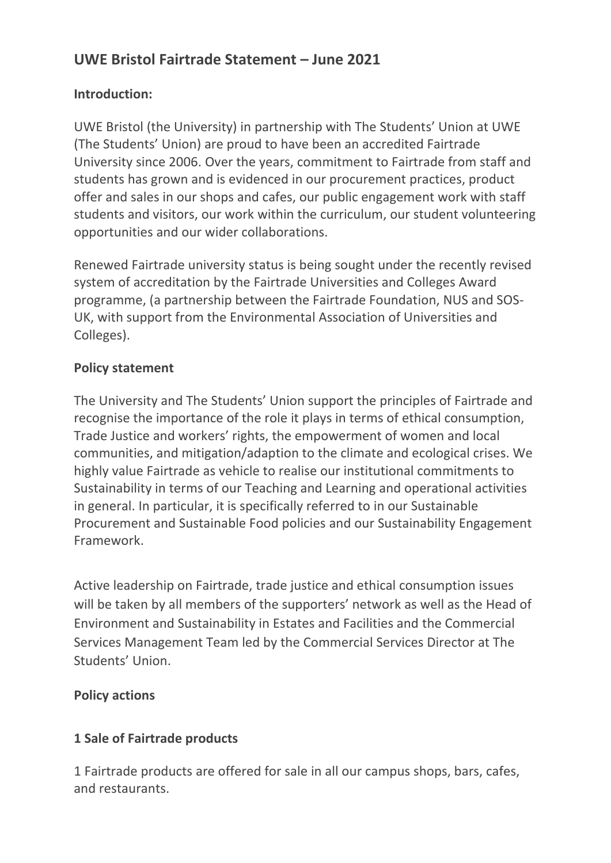# **UWE Bristol Fairtrade Statement – June 2021**

#### **Introduction:**

UWE Bristol (the University) in partnership with The Students' Union at UWE (The Students' Union) are proud to have been an accredited Fairtrade University since 2006. Over the years, commitment to Fairtrade from staff and students has grown and is evidenced in our procurement practices, product offer and sales in our shops and cafes, our public engagement work with staff students and visitors, our work within the curriculum, our student volunteering opportunities and our wider collaborations.

Renewed Fairtrade university status is being sought under the recently revised system of accreditation by the Fairtrade Universities and Colleges Award programme, (a partnership between the Fairtrade Foundation, NUS and SOS-UK, with support from the Environmental Association of Universities and Colleges).

## **Policy statement**

The University and The Students' Union support the principles of Fairtrade and recognise the importance of the role it plays in terms of ethical consumption, Trade Justice and workers' rights, the empowerment of women and local communities, and mitigation/adaption to the climate and ecological crises. We highly value Fairtrade as vehicle to realise our institutional commitments to Sustainability in terms of our Teaching and Learning and operational activities in general. In particular, it is specifically referred to in our Sustainable Procurement and Sustainable Food policies and our Sustainability Engagement Framework.

Active leadership on Fairtrade, trade justice and ethical consumption issues will be taken by all members of the supporters' network as well as the Head of Environment and Sustainability in Estates and Facilities and the Commercial Services Management Team led by the Commercial Services Director at The Students' Union.

## **Policy actions**

## **1 Sale of Fairtrade products**

1 Fairtrade products are offered for sale in all our campus shops, bars, cafes, and restaurants.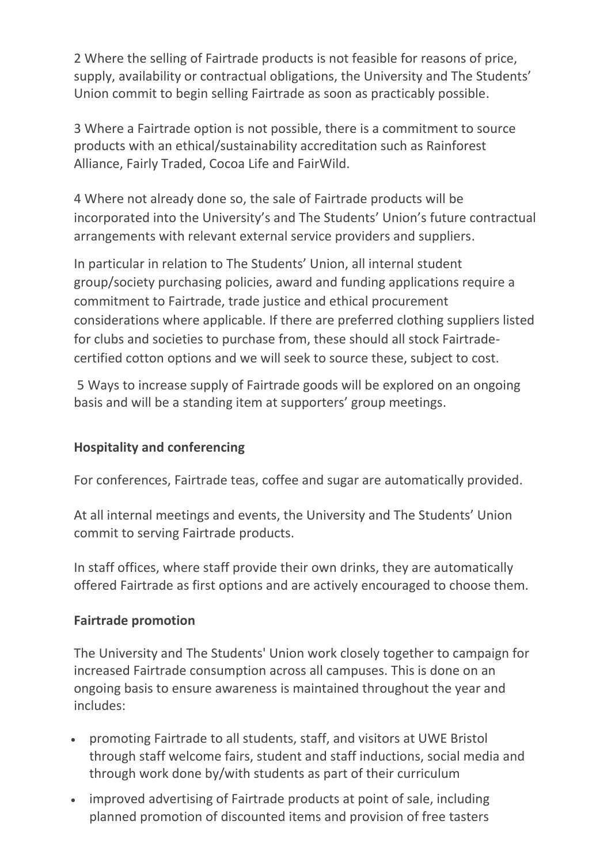2 Where the selling of Fairtrade products is not feasible for reasons of price, supply, availability or contractual obligations, the University and The Students' Union commit to begin selling Fairtrade as soon as practicably possible.

3 Where a Fairtrade option is not possible, there is a commitment to source products with an ethical/sustainability accreditation such as Rainforest Alliance, Fairly Traded, Cocoa Life and FairWild.

4 Where not already done so, the sale of Fairtrade products will be incorporated into the University's and The Students' Union's future contractual arrangements with relevant external service providers and suppliers.

In particular in relation to The Students' Union, all internal student group/society purchasing policies, award and funding applications require a commitment to Fairtrade, trade justice and ethical procurement considerations where applicable. If there are preferred clothing suppliers listed for clubs and societies to purchase from, these should all stock Fairtradecertified cotton options and we will seek to source these, subject to cost.

5 Ways to increase supply of Fairtrade goods will be explored on an ongoing basis and will be a standing item at supporters' group meetings.

## **Hospitality and conferencing**

For conferences, Fairtrade teas, coffee and sugar are automatically provided.

At all internal meetings and events, the University and The Students' Union commit to serving Fairtrade products.

In staff offices, where staff provide their own drinks, they are automatically offered Fairtrade as first options and are actively encouraged to choose them.

## **Fairtrade promotion**

The University and The Students' Union work closely together to campaign for increased Fairtrade consumption across all campuses. This is done on an ongoing basis to ensure awareness is maintained throughout the year and includes:

- promoting Fairtrade to all students, staff, and visitors at UWE Bristol through staff welcome fairs, student and staff inductions, social media and through work done by/with students as part of their curriculum
- improved advertising of Fairtrade products at point of sale, including planned promotion of discounted items and provision of free tasters